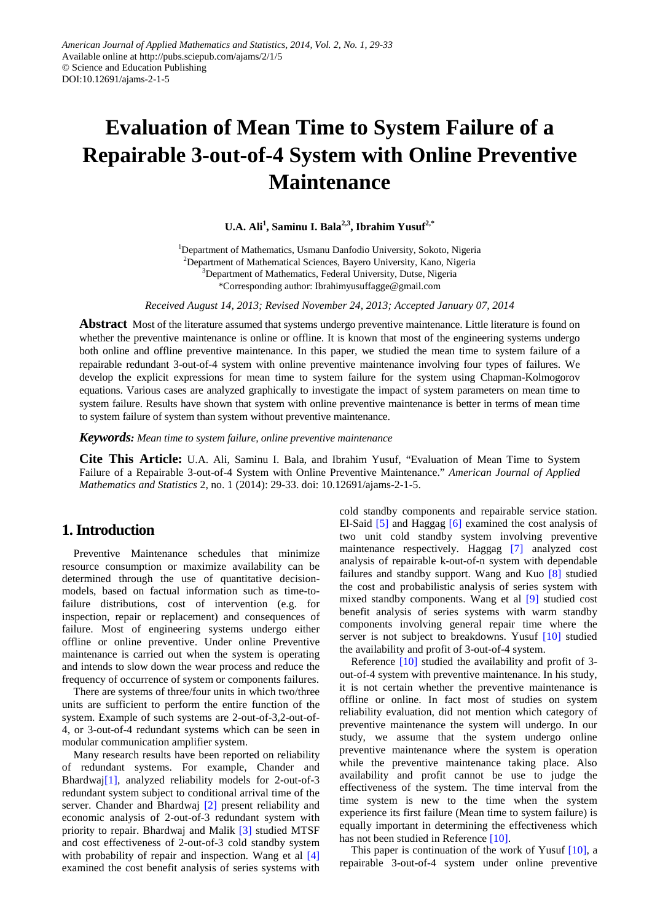# **Evaluation of Mean Time to System Failure of a Repairable 3-out-of-4 System with Online Preventive Maintenance**

**U.A. Ali1 , Saminu I. Bala2,3, Ibrahim Yusuf2,\***

<sup>1</sup>Department of Mathematics, Usmanu Danfodio University, Sokoto, Nigeria <sup>2</sup>Department of Mathematical Sciences, Bayero University, Kano, Nigeria <sup>3</sup>Department of Mathematics, Federal University, Dutse, Nigeria \*Corresponding author: Ibrahimyusuffagge@gmail.com

*Received August 14, 2013; Revised November 24, 2013; Accepted January 07, 2014*

**Abstract** Most of the literature assumed that systems undergo preventive maintenance. Little literature is found on whether the preventive maintenance is online or offline. It is known that most of the engineering systems undergo both online and offline preventive maintenance. In this paper, we studied the mean time to system failure of a repairable redundant 3-out-of-4 system with online preventive maintenance involving four types of failures. We develop the explicit expressions for mean time to system failure for the system using Chapman-Kolmogorov equations. Various cases are analyzed graphically to investigate the impact of system parameters on mean time to system failure. Results have shown that system with online preventive maintenance is better in terms of mean time to system failure of system than system without preventive maintenance.

*Keywords: Mean time to system failure, online preventive maintenance*

**Cite This Article:** U.A. Ali, Saminu I. Bala, and Ibrahim Yusuf, "Evaluation of Mean Time to System Failure of a Repairable 3-out-of-4 System with Online Preventive Maintenance." *American Journal of Applied Mathematics and Statistics* 2, no. 1 (2014): 29-33. doi: 10.12691/ajams-2-1-5.

## **1. Introduction**

Preventive Maintenance schedules that minimize resource consumption or maximize availability can be determined through the use of quantitative decisionmodels, based on factual information such as time-tofailure distributions, cost of intervention (e.g. for inspection, repair or replacement) and consequences of failure. Most of engineering systems undergo either offline or online preventive. Under online Preventive maintenance is carried out when the system is operating and intends to slow down the wear process and reduce the frequency of occurrence of system or components failures.

There are systems of three/four units in which two/three units are sufficient to perform the entire function of the system. Example of such systems are 2-out-of-3,2-out-of-4, or 3-out-of-4 redundant systems which can be seen in modular communication amplifier system.

Many research results have been reported on reliability of redundant systems. For example, Chander and Bhardwa[j\[1\],](#page-4-0) analyzed reliability models for 2-out-of-3 redundant system subject to conditional arrival time of the server. Chander and Bhardwaj [\[2\]](#page-4-1) present reliability and economic analysis of 2-out-of-3 redundant system with priority to repair. Bhardwaj and Malik [\[3\]](#page-4-2) studied MTSF and cost effectiveness of 2-out-of-3 cold standby system with probability of repair and inspection. Wang et al [\[4\]](#page-4-3) examined the cost benefit analysis of series systems with cold standby components and repairable service station. El-Said [\[5\]](#page-4-4) and Haggag [\[6\]](#page-4-5) examined the cost analysis of two unit cold standby system involving preventive maintenance respectively. Haggag [\[7\]](#page-4-6) analyzed cost analysis of repairable k-out-of-n system with dependable failures and standby support. Wang and Kuo [\[8\]](#page-4-7) studied the cost and probabilistic analysis of series system with mixed standby components. Wang et al [\[9\]](#page-4-8) studied cost benefit analysis of series systems with warm standby components involving general repair time where the server is not subject to breakdowns. Yusuf [\[10\]](#page-4-9) studied the availability and profit of 3-out-of-4 system.

Reference [\[10\]](#page-4-9) studied the availability and profit of 3 out-of-4 system with preventive maintenance. In his study, it is not certain whether the preventive maintenance is offline or online. In fact most of studies on system reliability evaluation, did not mention which category of preventive maintenance the system will undergo. In our study, we assume that the system undergo online preventive maintenance where the system is operation while the preventive maintenance taking place. Also availability and profit cannot be use to judge the effectiveness of the system. The time interval from the time system is new to the time when the system experience its first failure (Mean time to system failure) is equally important in determining the effectiveness which has not been studied in Reference [\[10\].](#page-4-9)

This paper is continuation of the work of Yusuf [\[10\],](#page-4-9) a repairable 3-out-of-4 system under online preventive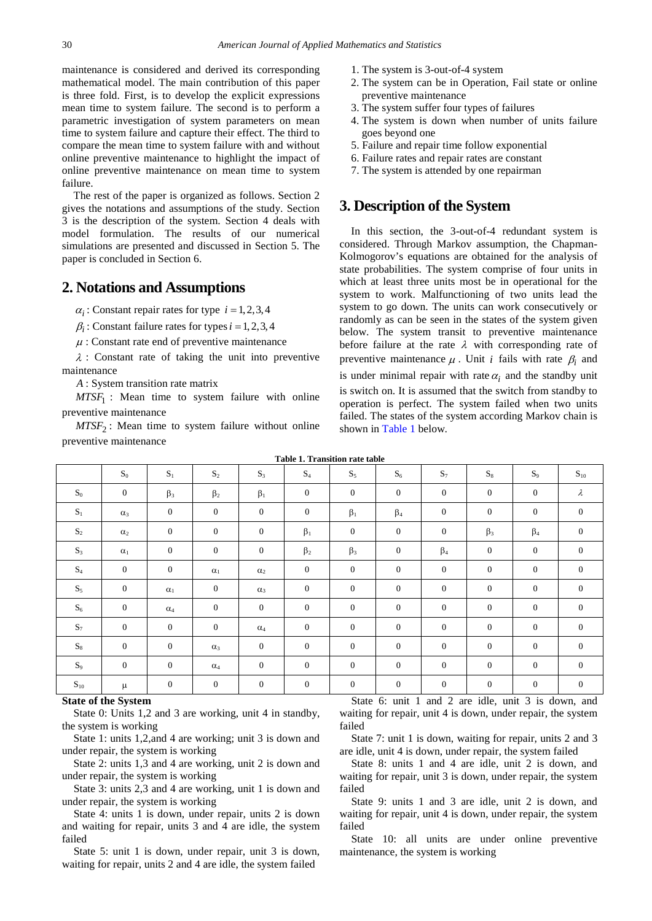maintenance is considered and derived its corresponding mathematical model. The main contribution of this paper is three fold. First, is to develop the explicit expressions mean time to system failure. The second is to perform a parametric investigation of system parameters on mean time to system failure and capture their effect. The third to compare the mean time to system failure with and without online preventive maintenance to highlight the impact of online preventive maintenance on mean time to system failure.

The rest of the paper is organized as follows. Section 2 gives the notations and assumptions of the study. Section 3 is the description of the system. Section 4 deals with model formulation. The results of our numerical simulations are presented and discussed in Section 5. The paper is concluded in Section 6.

### **2. Notations and Assumptions**

 $\alpha_i$ : Constant repair rates for type  $i = 1, 2, 3, 4$ 

 $\beta_i$ : Constant failure rates for types  $i = 1, 2, 3, 4$ 

 $\mu$ : Constant rate end of preventive maintenance

 $\lambda$  : Constant rate of taking the unit into preventive maintenance

*A* : System transition rate matrix

*MTSF*<sub>1</sub> : Mean time to system failure with online preventive maintenance

 $MTSF<sub>2</sub>$ : Mean time to system failure without online preventive maintenance

- 1. The system is 3-out-of-4 system
- 2. The system can be in Operation, Fail state or online preventive maintenance
- 3. The system suffer four types of failures
- 4. The system is down when number of units failure goes beyond one
- 5. Failure and repair time follow exponential
- 6. Failure rates and repair rates are constant
- 7. The system is attended by one repairman

## **3. Description of the System**

In this section, the 3-out-of-4 redundant system is considered. Through Markov assumption, the Chapman-Kolmogorov's equations are obtained for the analysis of state probabilities. The system comprise of four units in which at least three units most be in operational for the system to work. Malfunctioning of two units lead the system to go down. The units can work consecutively or randomly as can be seen in the states of the system given below. The system transit to preventive maintenance before failure at the rate  $\lambda$  with corresponding rate of preventive maintenance  $\mu$ . Unit *i* fails with rate  $\beta_i$  and is under minimal repair with rate  $\alpha_i$  and the standby unit is switch on. It is assumed that the switch from standby to operation is perfect. The system failed when two units failed. The states of the system according Markov chain is shown in [Table 1](#page-1-0) below.

<span id="page-1-0"></span>

| Table 1. Transition rate table |                  |                  |              |                  |                  |                  |                  |              |              |                  |              |
|--------------------------------|------------------|------------------|--------------|------------------|------------------|------------------|------------------|--------------|--------------|------------------|--------------|
|                                | $\mathbf{S}_0$   | $\mathbf{S}_1$   | $S_2$        | $S_3$            | $\mathbf{S}_4$   | $S_5$            | $S_6$            | $S_7$        | $S_8$        | $S_9$            | $S_{10}$     |
| $\mathbf{S}_0$                 | $\boldsymbol{0}$ | $\beta_3$        | $\beta_2$    | $\beta_1$        | $\mathbf{0}$     | $\mathbf{0}$     | $\mathbf{0}$     | $\mathbf{0}$ | $\mathbf{0}$ | $\mathbf{0}$     | $\lambda$    |
| $S_1$                          | $\alpha_3$       | $\mathbf{0}$     | $\mathbf{0}$ | $\boldsymbol{0}$ | $\mathbf{0}$     | $\beta_1$        | $\beta_4$        | $\mathbf{0}$ | $\mathbf{0}$ | $\mathbf{0}$     | $\mathbf{0}$ |
| $\mathbf{S}_2$                 | $\alpha_2$       | $\mathbf{0}$     | $\mathbf{0}$ | $\mathbf{0}$     | $\beta_1$        | $\mathbf{0}$     | $\mathbf{0}$     | $\mathbf{0}$ | $\beta_3$    | $\beta_4$        | $\mathbf{0}$ |
| $S_3$                          | $\alpha_{1}$     | $\mathbf{0}$     | $\mathbf{0}$ | $\boldsymbol{0}$ | $\beta_2$        | $\beta_3$        | $\mathbf{0}$     | $\beta_4$    | $\mathbf{0}$ | $\mathbf{0}$     | $\mathbf{0}$ |
| $\mathrm{S}_4$                 | $\mathbf{0}$     | $\mathbf{0}$     | $\alpha_1$   | $\alpha_2$       | $\mathbf{0}$     | $\mathbf{0}$     | $\mathbf{0}$     | $\mathbf{0}$ | $\mathbf{0}$ | $\mathbf{0}$     | $\mathbf{0}$ |
| $S_5$                          | $\boldsymbol{0}$ | $\alpha_1$       | $\mathbf{0}$ | $\alpha_3$       | $\boldsymbol{0}$ | $\mathbf{0}$     | $\mathbf{0}$     | $\mathbf{0}$ | $\mathbf{0}$ | $\boldsymbol{0}$ | $\mathbf{0}$ |
| $\mathbf{S}_6$                 | $\boldsymbol{0}$ | $\alpha_4$       | $\mathbf{0}$ | $\mathbf{0}$     | $\mathbf{0}$     | $\boldsymbol{0}$ | $\mathbf{0}$     | $\mathbf{0}$ | $\mathbf{0}$ | $\boldsymbol{0}$ | $\mathbf{0}$ |
| $\mathbf{S}_7$                 | $\boldsymbol{0}$ | $\mathbf{0}$     | $\mathbf{0}$ | $\alpha_4$       | $\mathbf{0}$     | $\overline{0}$   | $\mathbf{0}$     | $\mathbf{0}$ | $\mathbf{0}$ | $\boldsymbol{0}$ | $\mathbf{0}$ |
| $\mathbf{S}_8$                 | $\mathbf{0}$     | $\mathbf{0}$     | $\alpha_3$   | $\boldsymbol{0}$ | $\mathbf{0}$     | $\mathbf{0}$     | $\mathbf{0}$     | $\mathbf{0}$ | $\mathbf{0}$ | $\mathbf{0}$     | $\mathbf{0}$ |
| $S_9$                          | $\boldsymbol{0}$ | $\mathbf{0}$     | $\alpha_4$   | $\boldsymbol{0}$ | $\boldsymbol{0}$ | $\mathbf{0}$     | $\mathbf{0}$     | $\mathbf{0}$ | $\mathbf{0}$ | $\overline{0}$   | $\mathbf{0}$ |
| $\mathbf{S}_{10}$              | μ                | $\boldsymbol{0}$ | $\mathbf{0}$ | $\boldsymbol{0}$ | $\boldsymbol{0}$ | $\boldsymbol{0}$ | $\boldsymbol{0}$ | $\mathbf{0}$ | $\mathbf{0}$ | $\boldsymbol{0}$ | $\mathbf{0}$ |

#### **State of the System**

State 0: Units 1,2 and 3 are working, unit 4 in standby, the system is working

State 1: units 1,2,and 4 are working; unit 3 is down and under repair, the system is working

State 2: units 1,3 and 4 are working, unit 2 is down and under repair, the system is working

State 3: units 2,3 and 4 are working, unit 1 is down and under repair, the system is working

State 4: units 1 is down, under repair, units 2 is down and waiting for repair, units 3 and 4 are idle, the system failed

State 5: unit 1 is down, under repair, unit 3 is down, waiting for repair, units 2 and 4 are idle, the system failed

State 6: unit 1 and 2 are idle, unit 3 is down, and waiting for repair, unit 4 is down, under repair, the system failed

State 7: unit 1 is down, waiting for repair, units 2 and 3 are idle, unit 4 is down, under repair, the system failed

State 8: units 1 and 4 are idle, unit 2 is down, and waiting for repair, unit 3 is down, under repair, the system failed

State 9: units 1 and 3 are idle, unit 2 is down, and waiting for repair, unit 4 is down, under repair, the system failed

State 10: all units are under online preventive maintenance, the system is working

**Table 1. Transition rate table**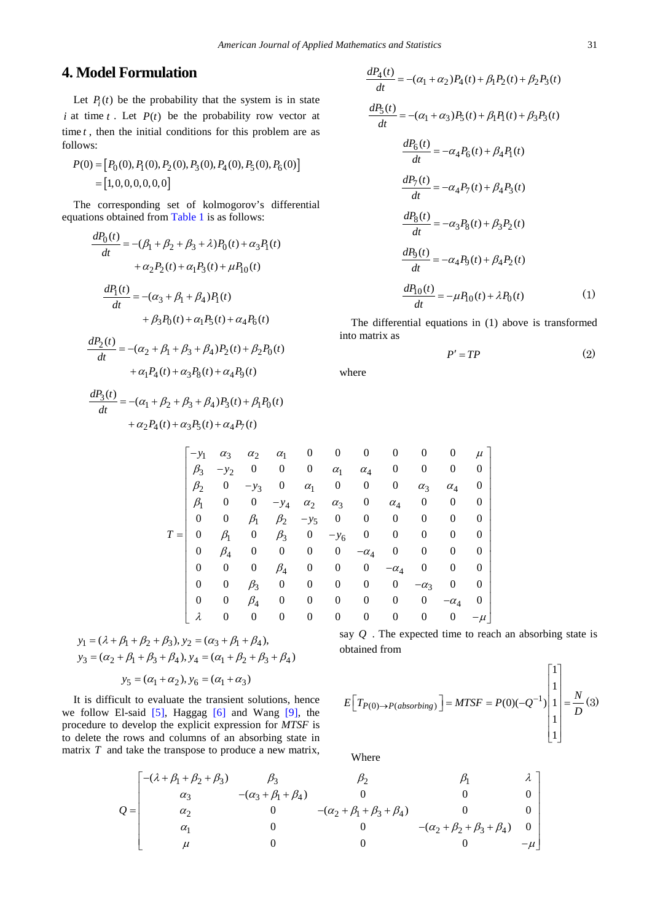## **4. Model Formulation**

Let  $P_i(t)$  be the probability that the system is in state *i* at time *t*. Let  $P(t)$  be the probability row vector at time *t* , then the initial conditions for this problem are as follows:

$$
P(0) = [P_0(0), P_1(0), P_2(0), P_3(0), P_4(0), P_5(0), P_6(0)]
$$
  
= [1, 0, 0, 0, 0, 0, 0]

The corresponding set of kolmogorov's differential equations obtained from [Table 1](#page-1-0) is as follows:

$$
\frac{dP_0(t)}{dt} = -(\beta_1 + \beta_2 + \beta_3 + \lambda)P_0(t) + \alpha_3 P_1(t)
$$

$$
+ \alpha_2 P_2(t) + \alpha_1 P_3(t) + \mu P_{10}(t)
$$

$$
\frac{dP_1(t)}{dt} = -(\alpha_3 + \beta_1 + \beta_4)P_1(t)
$$

$$
+ \beta_3 P_0(t) + \alpha_1 P_5(t) + \alpha_4 P_6(t)
$$

$$
\frac{dP_2(t)}{dt} = -(\alpha_2 + \beta_1 + \beta_3 + \beta_4)P_2(t) + \beta_2 P_0(t) + \alpha_1 P_4(t) + \alpha_3 P_8(t) + \alpha_4 P_9(t)
$$

$$
\frac{dP_3(t)}{dt} = -(\alpha_1 + \beta_2 + \beta_3 + \beta_4)P_3(t) + \beta_1 P_0(t) + \alpha_2 P_4(t) + \alpha_3 P_5(t) + \alpha_4 P_7(t)
$$

$$
\frac{dP_4(t)}{dt} = -(a_1 + a_2)P_4(t) + \beta_1 P_2(t) + \beta_2 P_3(t)
$$
  
\n
$$
\frac{dP_5(t)}{dt} = -(a_1 + a_3)P_5(t) + \beta_1 P_1(t) + \beta_3 P_3(t)
$$
  
\n
$$
\frac{dP_6(t)}{dt} = -a_4 P_6(t) + \beta_4 P_1(t)
$$
  
\n
$$
\frac{dP_7(t)}{dt} = -a_4 P_7(t) + \beta_4 P_3(t)
$$
  
\n
$$
\frac{dP_8(t)}{dt} = -a_3 P_8(t) + \beta_3 P_2(t)
$$
  
\n
$$
\frac{dP_9(t)}{dt} = -a_4 P_9(t) + \beta_4 P_2(t)
$$
  
\n
$$
\frac{dP_{10}(t)}{dt} = -\mu P_{10}(t) + \lambda P_0(t)
$$
 (1)

The differential equations in (1) above is transformed into matrix as

$$
P' = TP \tag{2}
$$

where

|       | $-y_1$    | $\alpha_3$       | $\alpha_{2}$     | $\alpha_1$ | $\boldsymbol{0}$ | 0                | $\theta$         | 0                | 0           | 0                | $\mu$            |
|-------|-----------|------------------|------------------|------------|------------------|------------------|------------------|------------------|-------------|------------------|------------------|
|       | $\beta_3$ | $-y_2$           | $\theta$         | 0          | $\boldsymbol{0}$ | $\alpha_1$       | $\alpha_4$       | $\boldsymbol{0}$ | 0           | 0                | 0                |
|       | $\beta_2$ | 0                | $-y_3$           | 0          | $\alpha_1$       | $\boldsymbol{0}$ | $\boldsymbol{0}$ | $\boldsymbol{0}$ | $\alpha_3$  | $\alpha_4$       | $\theta$         |
|       | $\beta_1$ | $\boldsymbol{0}$ | 0                | $-y_4$     | $\alpha_{2}$     | $\alpha_3$       | $\boldsymbol{0}$ | $\alpha_4$       | 0           | 0                | 0                |
|       | 0         | 0                | $\beta_1$        | $\beta_2$  | $-y_5$           | 0                | $\bf{0}$         | $\boldsymbol{0}$ | 0           | $\boldsymbol{0}$ | 0                |
| $T =$ | 0         | $\beta_1$        | 0                | $\beta_3$  | 0                | $-y_6$           | $\boldsymbol{0}$ | $\boldsymbol{0}$ | 0           | $\boldsymbol{0}$ | 0                |
|       | 0         | $\beta_4$        | $\boldsymbol{0}$ | 0          | 0                | $\boldsymbol{0}$ | $-\alpha_4$      | $\boldsymbol{0}$ | 0           | $\boldsymbol{0}$ | $\boldsymbol{0}$ |
|       | 0         | 0                | 0                | $\beta_4$  | 0                | $\boldsymbol{0}$ | $\boldsymbol{0}$ | $-\alpha_4$      | 0           | 0                | 0                |
|       | 0         | $\boldsymbol{0}$ | $\beta_3$        | 0          | $\boldsymbol{0}$ | 0                | $\boldsymbol{0}$ | $\boldsymbol{0}$ | $-\alpha_3$ | $\boldsymbol{0}$ | 0                |
|       | 0         | $\boldsymbol{0}$ | $\beta_4$        | 0          | $\boldsymbol{0}$ | 0                | $\boldsymbol{0}$ | 0                | 0           | $-\alpha_4$      | $\boldsymbol{0}$ |
|       | λ         | 0                | 0                | 0          | 0                | 0                | 0                | 0                | 0           | $\boldsymbol{0}$ | $-\mu$           |

$$
y_1 = (\lambda + \beta_1 + \beta_2 + \beta_3), y_2 = (\alpha_3 + \beta_1 + \beta_4),
$$
  

$$
y_3 = (\alpha_2 + \beta_1 + \beta_3 + \beta_4), y_4 = (\alpha_1 + \beta_2 + \beta_3 + \beta_4)
$$

$$
y_5 = (\alpha_1 + \alpha_2), y_6 = (\alpha_1 + \alpha_3)
$$

It is difficult to evaluate the transient solutions, hence we follow El-said [\[5\],](#page-4-4) Haggag [\[6\]](#page-4-5) and Wang [\[9\],](#page-4-8) the procedure to develop the explicit expression for *MTSF* is to delete the rows and columns of an absorbing state in matrix *T* and take the transpose to produce a new matrix,

say *Q* . The expected time to reach an absorbing state is obtained from

$$
E\left[T_{P(0)\to P(absorbing)}\right] = MTSF = P(0)(-Q^{-1})\begin{bmatrix}1\\1\\1\\1\\1\end{bmatrix} = \frac{N}{D}(3)
$$

Where

$$
Q = \begin{bmatrix} -(\lambda + \beta_1 + \beta_2 + \beta_3) & \beta_3 & \beta_2 & \beta_1 & \lambda \\ \alpha_3 & -(\alpha_3 + \beta_1 + \beta_4) & 0 & 0 & 0 \\ \alpha_2 & 0 & -(\alpha_2 + \beta_1 + \beta_3 + \beta_4) & 0 & 0 \\ \alpha_1 & 0 & 0 & -(\alpha_2 + \beta_2 + \beta_3 + \beta_4) & 0 \\ \mu & 0 & 0 & 0 & -\mu \end{bmatrix}
$$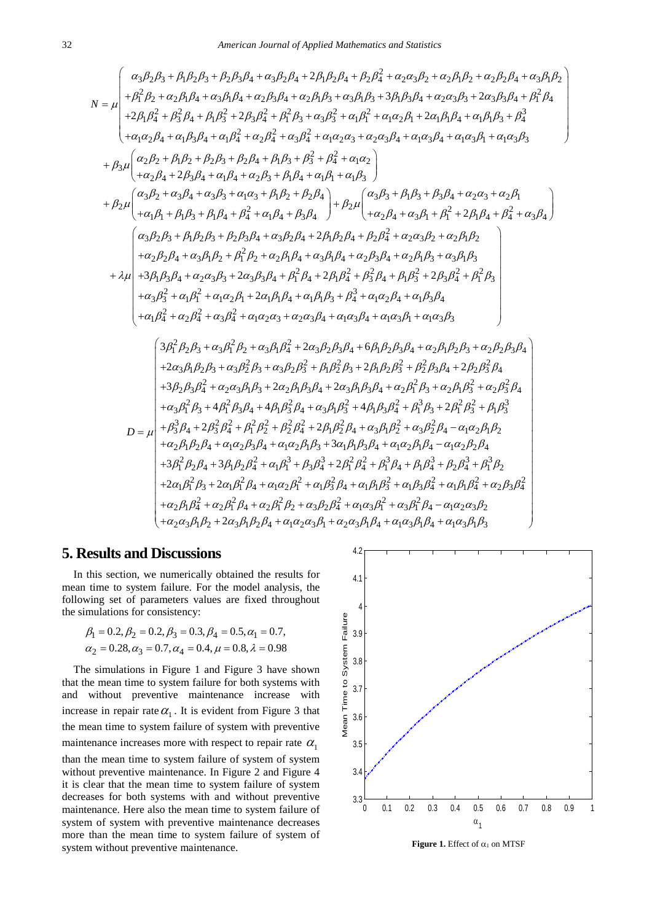$$
\mu = \int_{R_{1}}^{R_{3}}\beta_{2}B_{3} + \beta_{1}\beta_{2}\beta_{3} + \beta_{2}\beta_{3}\beta_{4} + \alpha_{3}\beta_{2}\beta_{4} + 2\beta_{1}\beta_{2}\beta_{4} + \beta_{2}\beta_{4}^{2} + \alpha_{2}\alpha_{3}\beta_{2} + \alpha_{2}\beta_{1}\beta_{2} + \alpha_{3}\beta_{1}\beta_{2} + \beta_{1}\beta_{2}^{2} + \alpha_{2}\beta_{1}\beta_{2} + \alpha_{2}\beta_{1}\beta_{2} + \alpha_{2}\beta_{1}\beta_{2} + \alpha_{2}\beta_{1}\beta_{2} + \alpha_{2}\beta_{1}\beta_{2} + \alpha_{2}\beta_{1}\beta_{2} + \alpha_{2}\beta_{1}\beta_{2} + \alpha_{2}\beta_{1}\beta_{2} + \alpha_{2}\beta_{1}\beta_{2} + \alpha_{2}\beta_{1}\beta_{2} + \alpha_{2}\beta_{1}\beta_{2} + \alpha_{2}\beta_{1}\beta_{2} + \alpha_{2}\beta_{1}\beta_{2} + \alpha_{2}\beta_{1}\beta_{2} + \alpha_{2}\beta_{1}\beta_{2} + \alpha_{2}\beta_{2}\beta_{4} + \alpha_{1}\beta_{1}\beta_{2}^{2} + \alpha_{2}\beta_{2}\beta_{4}^{2} + \alpha_{2}\beta_{2}^{2} + \alpha_{3}\beta_{2}^{2} + \alpha_{3}\beta_{2}^{2} + \alpha_{1}\alpha_{2}\beta_{1} + \alpha_{1}\alpha_{2}\beta_{1} + \alpha_{1}\beta_{1}\beta_{3} + \beta_{1}^{2}
$$
\n
$$
+ \beta_{3}\mu \begin{pmatrix} \alpha_{2}\beta_{2} + \beta_{1}\beta_{2} + \beta_{2}\beta_{3} + \beta_{2}\beta_{4} + \beta_{1}\beta_{3} + \beta_{2}^{2} + \beta_{4}^{2} + \alpha_{1}\alpha_{2}\alpha_{3} + \alpha_{2}\alpha_{3}\beta_{4} + \alpha_{1}\alpha_{3}\beta_{1} + \alpha_{1}\alpha_{3}\beta_{3} + \beta_{1}\alpha_{2}\beta_{2} + \alpha_{2}\beta_{2} + \alpha_{2}\beta_{2} + \beta_{1}\beta_{2} + \alpha_{1}\beta_{1} + \alpha_{1}\beta_{1} + \alpha_{1}\beta_{1} + \alpha_{1}\beta_{1} + \alpha_{1}\beta_{1} + \alpha_{1}\beta_{1} + \alpha_{1}\beta_{1} + \alpha
$$

## **5. Results and Discussions**

In this section, we numerically obtained the results for mean time to system failure. For the model analysis, the following set of parameters values are fixed throughout the simulations for consistency:

$$
\beta_1 = 0.2, \beta_2 = 0.2, \beta_3 = 0.3, \beta_4 = 0.5, \alpha_1 = 0.7, \n\alpha_2 = 0.28, \alpha_3 = 0.7, \alpha_4 = 0.4, \mu = 0.8, \lambda = 0.98
$$

The simulations in Figure 1 and Figure 3 have shown that the mean time to system failure for both systems with and without preventive maintenance increase with increase in repair rate  $\alpha_1$ . It is evident from Figure 3 that the mean time to system failure of system with preventive maintenance increases more with respect to repair rate  $\alpha_1$ than the mean time to system failure of system of system without preventive maintenance. In Figure 2 and Figure 4 it is clear that the mean time to system failure of system decreases for both systems with and without preventive maintenance. Here also the mean time to system failure of system of system with preventive maintenance decreases more than the mean time to system failure of system of system without preventive maintenance.



**Figure 1.** Effect of  $\alpha_1$  on MTSF